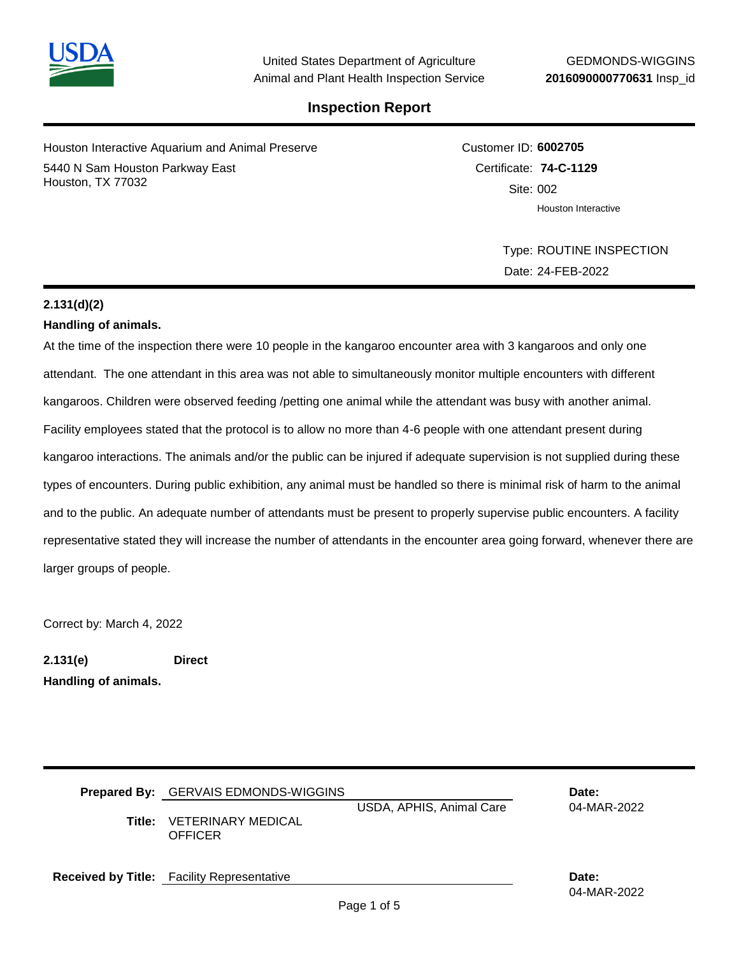

Houston Interactive Aquarium and Animal Preserve 5440 N Sam Houston Parkway East Houston, TX 77032

Customer ID: **6002705** Certificate: **74-C-1129**  Site: 002 Houston Interactive

> Type: ROUTINE INSPECTION Date: 24-FEB-2022

## **2.131(d)(2)**

## **Handling of animals.**

At the time of the inspection there were 10 people in the kangaroo encounter area with 3 kangaroos and only one attendant. The one attendant in this area was not able to simultaneously monitor multiple encounters with different kangaroos. Children were observed feeding /petting one animal while the attendant was busy with another animal. Facility employees stated that the protocol is to allow no more than 4-6 people with one attendant present during kangaroo interactions. The animals and/or the public can be injured if adequate supervision is not supplied during these types of encounters. During public exhibition, any animal must be handled so there is minimal risk of harm to the animal and to the public. An adequate number of attendants must be present to properly supervise public encounters. A facility representative stated they will increase the number of attendants in the encounter area going forward, whenever there are larger groups of people.

Correct by: March 4, 2022

**2.131(e) Direct Handling of animals.**

| <b>Prepared By:</b> GERVAIS EDMONDS-WIGGINS<br>Title: VETERINARY MEDICAL<br><b>OFFICER</b> | USDA, APHIS, Animal Care | Date:<br>04-MAR-2022 |
|--------------------------------------------------------------------------------------------|--------------------------|----------------------|
| <b>Received by Title:</b> Facility Representative                                          |                          | Date:                |

04-MAR-2022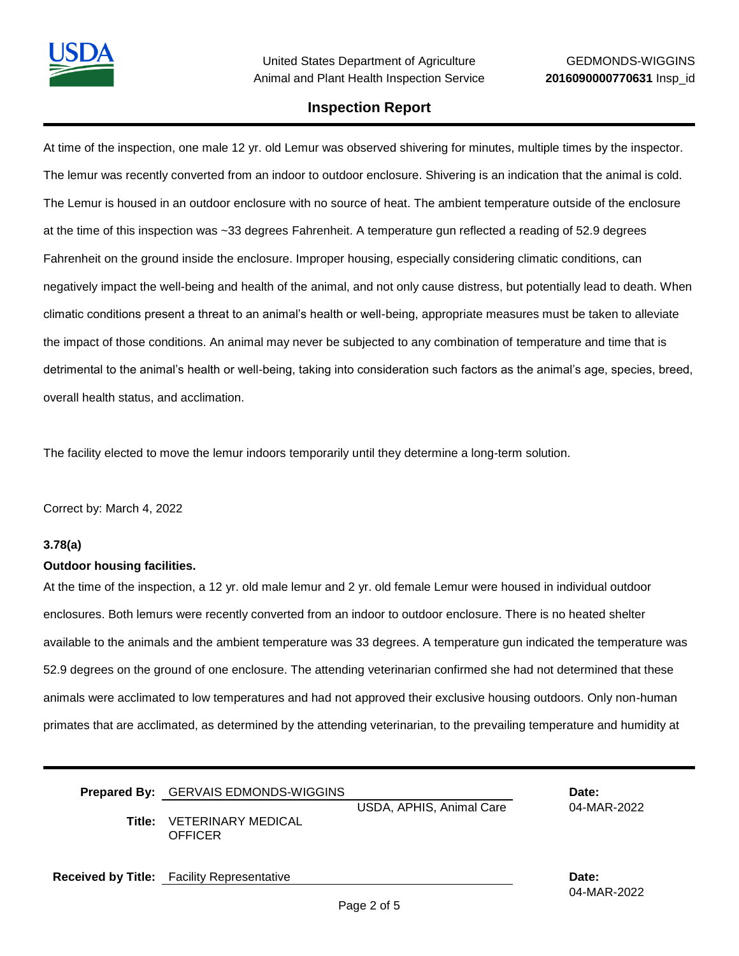At time of the inspection, one male 12 yr. old Lemur was observed shivering for minutes, multiple times by the inspector. The lemur was recently converted from an indoor to outdoor enclosure. Shivering is an indication that the animal is cold. The Lemur is housed in an outdoor enclosure with no source of heat. The ambient temperature outside of the enclosure at the time of this inspection was ~33 degrees Fahrenheit. A temperature gun reflected a reading of 52.9 degrees Fahrenheit on the ground inside the enclosure. Improper housing, especially considering climatic conditions, can negatively impact the well-being and health of the animal, and not only cause distress, but potentially lead to death. When climatic conditions present a threat to an animal's health or well-being, appropriate measures must be taken to alleviate the impact of those conditions. An animal may never be subjected to any combination of temperature and time that is detrimental to the animal's health or well-being, taking into consideration such factors as the animal's age, species, breed, overall health status, and acclimation.

The facility elected to move the lemur indoors temporarily until they determine a long-term solution.

Correct by: March 4, 2022

### **3.78(a)**

#### **Outdoor housing facilities.**

At the time of the inspection, a 12 yr. old male lemur and 2 yr. old female Lemur were housed in individual outdoor enclosures. Both lemurs were recently converted from an indoor to outdoor enclosure. There is no heated shelter available to the animals and the ambient temperature was 33 degrees. A temperature gun indicated the temperature was 52.9 degrees on the ground of one enclosure. The attending veterinarian confirmed she had not determined that these animals were acclimated to low temperatures and had not approved their exclusive housing outdoors. Only non-human primates that are acclimated, as determined by the attending veterinarian, to the prevailing temperature and humidity at

| <b>Prepared By:</b> GERVAIS EDMONDS-WIGGINS        |                          | Date:       |
|----------------------------------------------------|--------------------------|-------------|
| <b>Title: VETERINARY MEDICAL</b><br><b>OFFICER</b> | USDA, APHIS, Animal Care | 04-MAR-2022 |

**Received by Title:** Facility Representative **Date:**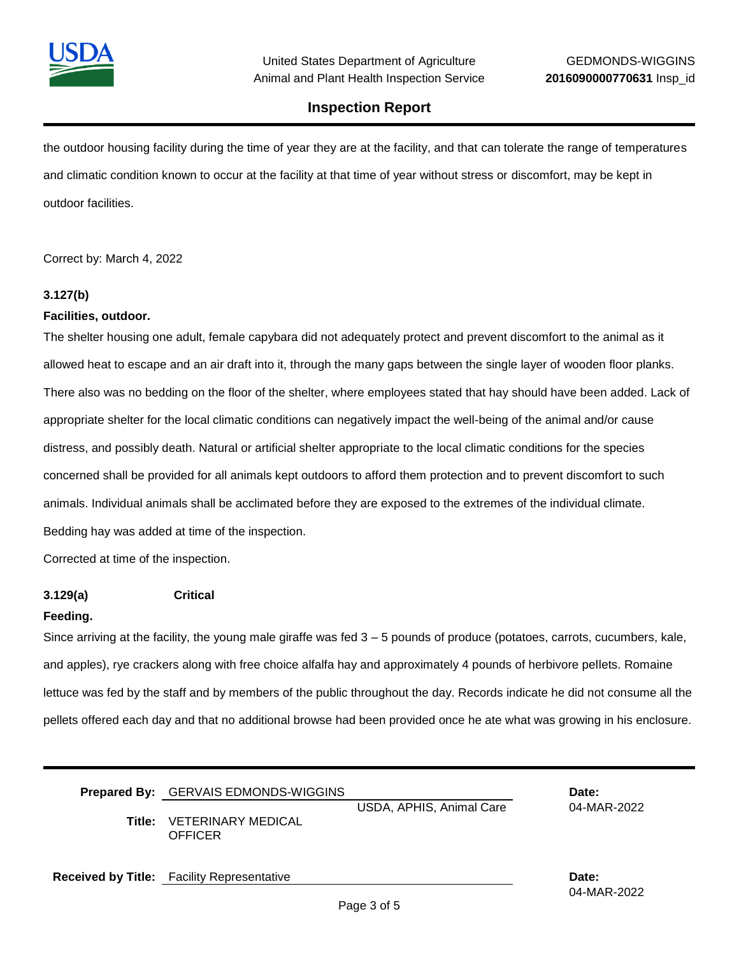

the outdoor housing facility during the time of year they are at the facility, and that can tolerate the range of temperatures and climatic condition known to occur at the facility at that time of year without stress or discomfort, may be kept in outdoor facilities.

Correct by: March 4, 2022

### **3.127(b)**

### **Facilities, outdoor.**

The shelter housing one adult, female capybara did not adequately protect and prevent discomfort to the animal as it allowed heat to escape and an air draft into it, through the many gaps between the single layer of wooden floor planks. There also was no bedding on the floor of the shelter, where employees stated that hay should have been added. Lack of appropriate shelter for the local climatic conditions can negatively impact the well-being of the animal and/or cause distress, and possibly death. Natural or artificial shelter appropriate to the local climatic conditions for the species concerned shall be provided for all animals kept outdoors to afford them protection and to prevent discomfort to such animals. Individual animals shall be acclimated before they are exposed to the extremes of the individual climate. Bedding hay was added at time of the inspection.

Corrected at time of the inspection.

**3.129(a) Critical**

#### **Feeding.**

Since arriving at the facility, the young male giraffe was fed 3 – 5 pounds of produce (potatoes, carrots, cucumbers, kale, and apples), rye crackers along with free choice alfalfa hay and approximately 4 pounds of herbivore pellets. Romaine lettuce was fed by the staff and by members of the public throughout the day. Records indicate he did not consume all the pellets offered each day and that no additional browse had been provided once he ate what was growing in his enclosure.

**Prepared By:** GERVAIS EDMONDS-WIGGINS **Date:** USDA, APHIS, Animal Care 04-MAR-2022 **Title:** VETERINARY MEDICAL **OFFICER** 

**Received by Title:** Facility Representative **Date:**

04-MAR-2022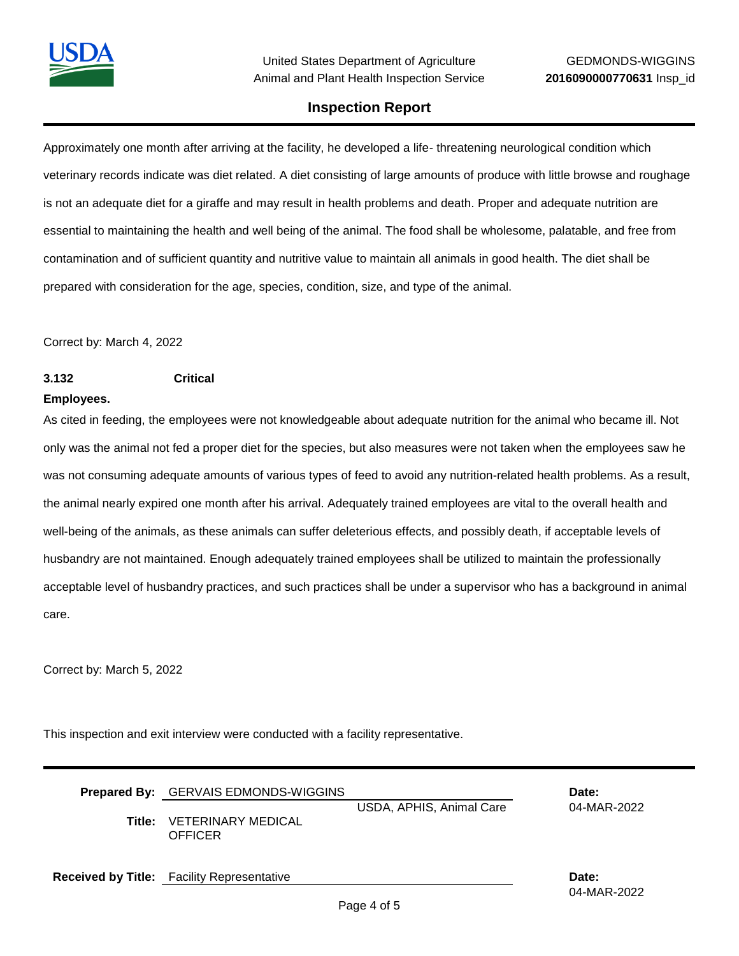

Approximately one month after arriving at the facility, he developed a life- threatening neurological condition which veterinary records indicate was diet related. A diet consisting of large amounts of produce with little browse and roughage is not an adequate diet for a giraffe and may result in health problems and death. Proper and adequate nutrition are essential to maintaining the health and well being of the animal. The food shall be wholesome, palatable, and free from contamination and of sufficient quantity and nutritive value to maintain all animals in good health. The diet shall be prepared with consideration for the age, species, condition, size, and type of the animal.

Correct by: March 4, 2022

**3.132 Critical**

#### **Employees.**

As cited in feeding, the employees were not knowledgeable about adequate nutrition for the animal who became ill. Not only was the animal not fed a proper diet for the species, but also measures were not taken when the employees saw he was not consuming adequate amounts of various types of feed to avoid any nutrition-related health problems. As a result, the animal nearly expired one month after his arrival. Adequately trained employees are vital to the overall health and well-being of the animals, as these animals can suffer deleterious effects, and possibly death, if acceptable levels of husbandry are not maintained. Enough adequately trained employees shall be utilized to maintain the professionally acceptable level of husbandry practices, and such practices shall be under a supervisor who has a background in animal care.

Correct by: March 5, 2022

This inspection and exit interview were conducted with a facility representative.

| <b>Prepared By:</b> GERVAIS EDMONDS-WIGGINS<br>Title: VETERINARY MEDICAL<br>OFFICER | USDA, APHIS, Animal Care | Date:<br>04-MAR-2022 |
|-------------------------------------------------------------------------------------|--------------------------|----------------------|
| <b>Received by Title:</b> Facility Representative                                   |                          | Date:<br>04-MAR-2022 |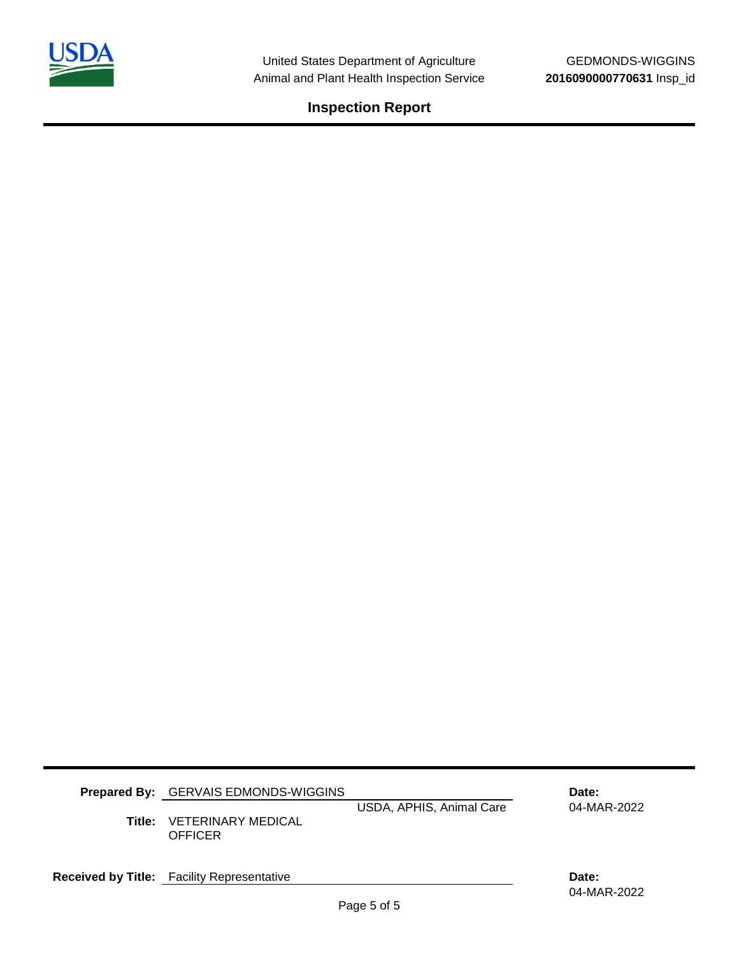

| <b>Prepared By:</b> GERVAIS EDMONDS-WIGGINS<br><b>Title: VETERINARY MEDICAL</b><br>OFFICER | USDA, APHIS, Animal Care | Date:<br>04-MAR-2022 |
|--------------------------------------------------------------------------------------------|--------------------------|----------------------|
| <b>Received by Title:</b> Facility Representative                                          |                          | Date:                |

04-MAR-2022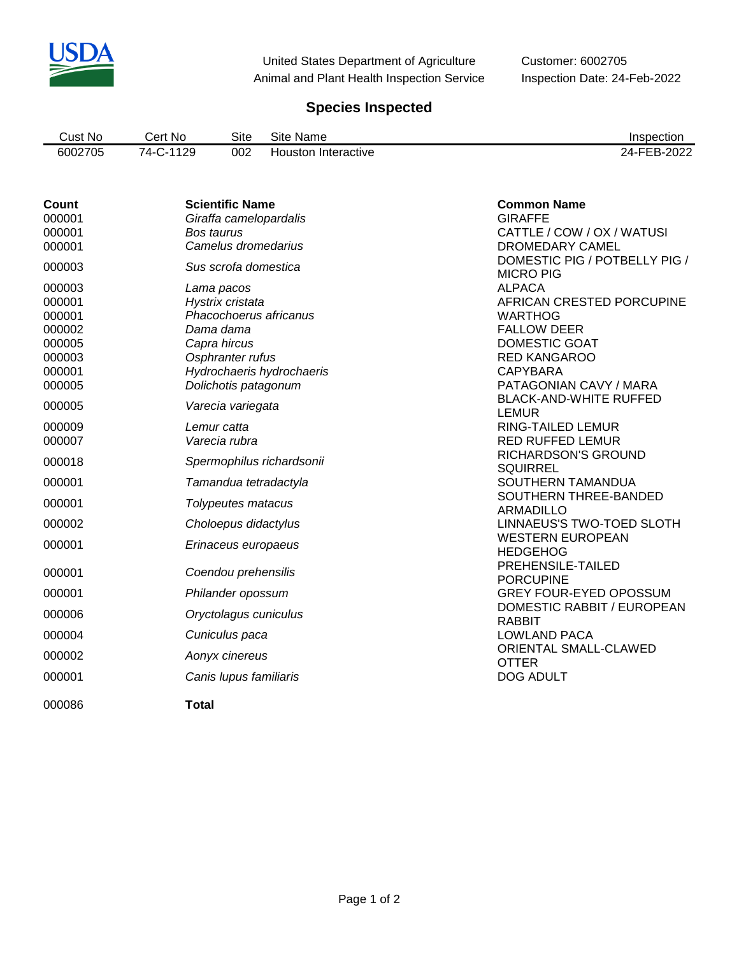

United States Department of Agriculture Customer: 6002705 Animal and Plant Health Inspection Service Inspection Date: 24-Feb-2022

# **Species Inspected**

| Cust No | No.<br>∴ert | Site | Site<br>Name           | Inspection                            |
|---------|-------------|------|------------------------|---------------------------------------|
| 6002705 | 1129<br>74- | 002  | Interactive<br>Houston | റററ<br>$\lambda$<br>---<br><u>UZZ</u> |

| <b>Count</b><br>000001<br>000001<br>000001<br>000003<br>000003<br>000001     | <b>Scientific Name</b><br>Giraffa camelopardalis<br>Bos taurus<br>Camelus dromedarius<br>Sus scrofa domestica<br>Lama pacos<br>Hystrix cristata                              | <b>Common Name</b><br><b>GIRAFFE</b><br>CATTLE / COW / OX / WATUSI<br>DROMEDARY CAMEL<br>DOMESTIC PIG / POTBELLY PIG /<br><b>MICRO PIG</b><br><b>ALPACA</b><br>AFRICAN CRESTED PORCUPINE                                         |
|------------------------------------------------------------------------------|------------------------------------------------------------------------------------------------------------------------------------------------------------------------------|----------------------------------------------------------------------------------------------------------------------------------------------------------------------------------------------------------------------------------|
| 000001<br>000002<br>000005<br>000003<br>000001<br>000005                     | Phacochoerus africanus<br>Dama dama<br>Capra hircus<br>Osphranter rufus<br>Hydrochaeris hydrochaeris<br>Dolichotis patagonum                                                 | <b>WARTHOG</b><br><b>FALLOW DEER</b><br>DOMESTIC GOAT<br><b>RED KANGAROO</b><br><b>CAPYBARA</b><br>PATAGONIAN CAVY / MARA<br><b>BLACK-AND-WHITE RUFFED</b>                                                                       |
| 000005<br>000009<br>000007<br>000018<br>000001<br>000001<br>000002<br>000001 | Varecia variegata<br>Lemur catta<br>Varecia rubra<br>Spermophilus richardsonii<br>Tamandua tetradactyla<br>Tolypeutes matacus<br>Choloepus didactylus<br>Erinaceus europaeus | <b>LEMUR</b><br>RING-TAILED LEMUR<br><b>RED RUFFED LEMUR</b><br>RICHARDSON'S GROUND<br><b>SQUIRREL</b><br>SOUTHERN TAMANDUA<br>SOUTHERN THREE-BANDED<br><b>ARMADILLO</b><br>LINNAEUS'S TWO-TOED SLOTH<br><b>WESTERN EUROPEAN</b> |
| 000001<br>000001<br>000006<br>000004<br>000002<br>000001<br>000086           | Coendou prehensilis<br>Philander opossum<br>Oryctolagus cuniculus<br>Cuniculus paca<br>Aonyx cinereus<br>Canis lupus familiaris<br><b>Total</b>                              | <b>HEDGEHOG</b><br>PREHENSILE-TAILED<br><b>PORCUPINE</b><br><b>GREY FOUR-EYED OPOSSUM</b><br>DOMESTIC RABBIT / EUROPEAN<br><b>RABBIT</b><br><b>LOWLAND PACA</b><br>ORIENTAL SMALL-CLAWED<br><b>OTTER</b><br><b>DOG ADULT</b>     |